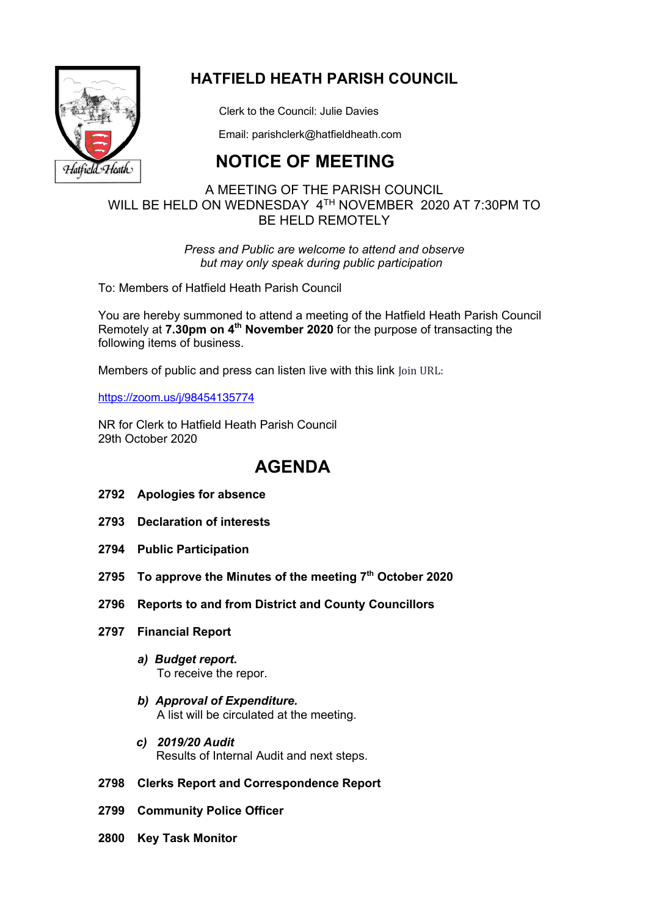

## **HATFIELD HEATH PARISH COUNCIL**

Clerk to the Council: Julie Davies

Email: parishclerk@hatfieldheath.com

# **NOTICE OF MEETING**

## A MEETING OF THE PARISH COUNCIL WILL BE HELD ON WEDNESDAY 4TH NOVEMBER 2020 AT 7:30PM TO BE HELD REMOTELY

*Press and Public are welcome to attend and observe but may only speak during public participation*

To: Members of Hatfield Heath Parish Council

You are hereby summoned to attend a meeting of the Hatfield Heath Parish Council Remotely at **7.30pm on 4th November 2020** for the purpose of transacting the following items of business.

Members of public and press can listen live with this link Join URL:

https://zoom.us/j/98454135774

NR for Clerk to Hatfield Heath Parish Council 29th October 2020

## **AGENDA**

- **2792 Apologies for absence**
- **2793 Declaration of interests**
- **2794 Public Participation**
- **2795 To approve the Minutes of the meeting 7th October 2020**
- **2796 Reports to and from District and County Councillors**
- **2797 Financial Report**
	- *a) Budget report.*  To receive the repor.
	- *b) Approval of Expenditure.*  A list will be circulated at the meeting.
	- *c) 2019/20 Audit* Results of Internal Audit and next steps.

### **2798 Clerks Report and Correspondence Report**

- **2799 Community Police Officer**
- **2800 Key Task Monitor**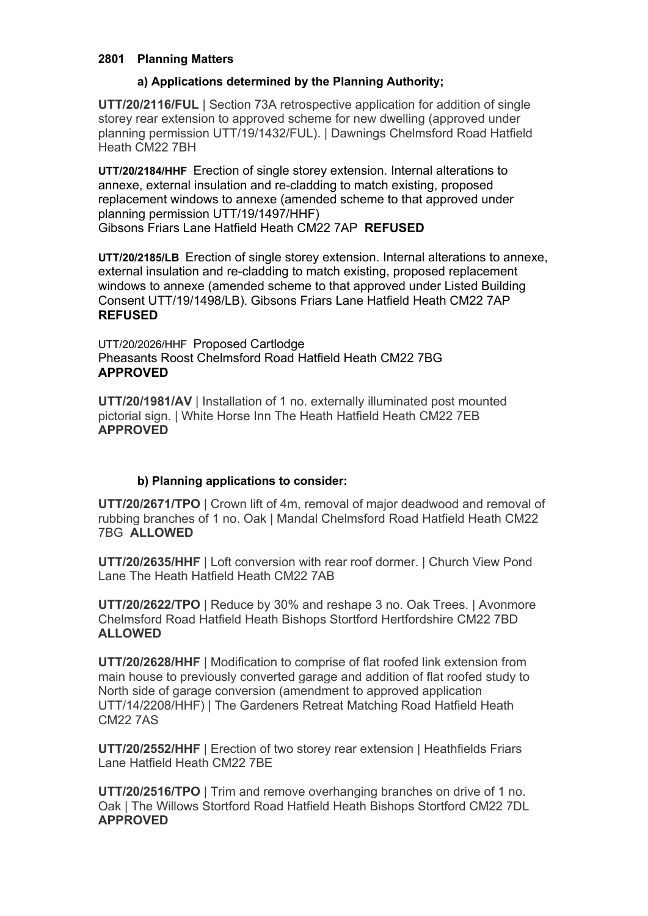### **2801 Planning Matters**

## **a) Applications determined by the Planning Authority;**

**UTT/20/2116/FUL** | Section 73A retrospective application for addition of single storey rear extension to approved scheme for new dwelling (approved under planning permission UTT/19/1432/FUL). | Dawnings Chelmsford Road Hatfield Heath CM22 7BH

**UTT/20/2184/HHF** Erection of single storey extension. Internal alterations to annexe, external insulation and re-cladding to match existing, proposed replacement windows to annexe (amended scheme to that approved under planning permission UTT/19/1497/HHF)

Gibsons Friars Lane Hatfield Heath CM22 7AP **REFUSED**

**UTT/20/2185/LB** Erection of single storey extension. Internal alterations to annexe, external insulation and re-cladding to match existing, proposed replacement windows to annexe (amended scheme to that approved under Listed Building Consent UTT/19/1498/LB). Gibsons Friars Lane Hatfield Heath CM22 7AP **REFUSED**

UTT/20/2026/HHF Proposed Cartlodge Pheasants Roost Chelmsford Road Hatfield Heath CM22 7BG **APPROVED**

**UTT/20/1981/AV** | Installation of 1 no. externally illuminated post mounted pictorial sign. | White Horse Inn The Heath Hatfield Heath CM22 7EB **APPROVED**

## **b) Planning applications to consider:**

**UTT/20/2671/TPO** | Crown lift of 4m, removal of major deadwood and removal of rubbing branches of 1 no. Oak | Mandal Chelmsford Road Hatfield Heath CM22 7BG **ALLOWED**

**UTT/20/2635/HHF** | Loft conversion with rear roof dormer. | Church View Pond Lane The Heath Hatfield Heath CM22 7AB

**UTT/20/2622/TPO** | Reduce by 30% and reshape 3 no. Oak Trees. | Avonmore Chelmsford Road Hatfield Heath Bishops Stortford Hertfordshire CM22 7BD **ALLOWED**

**UTT/20/2628/HHF** | Modification to comprise of flat roofed link extension from main house to previously converted garage and addition of flat roofed study to North side of garage conversion (amendment to approved application UTT/14/2208/HHF) | The Gardeners Retreat Matching Road Hatfield Heath CM22 7AS

**UTT/20/2552/HHF** | Erection of two storey rear extension | Heathfields Friars Lane Hatfield Heath CM22 7BE

**UTT/20/2516/TPO** | Trim and remove overhanging branches on drive of 1 no. Oak | The Willows Stortford Road Hatfield Heath Bishops Stortford CM22 7DL **APPROVED**